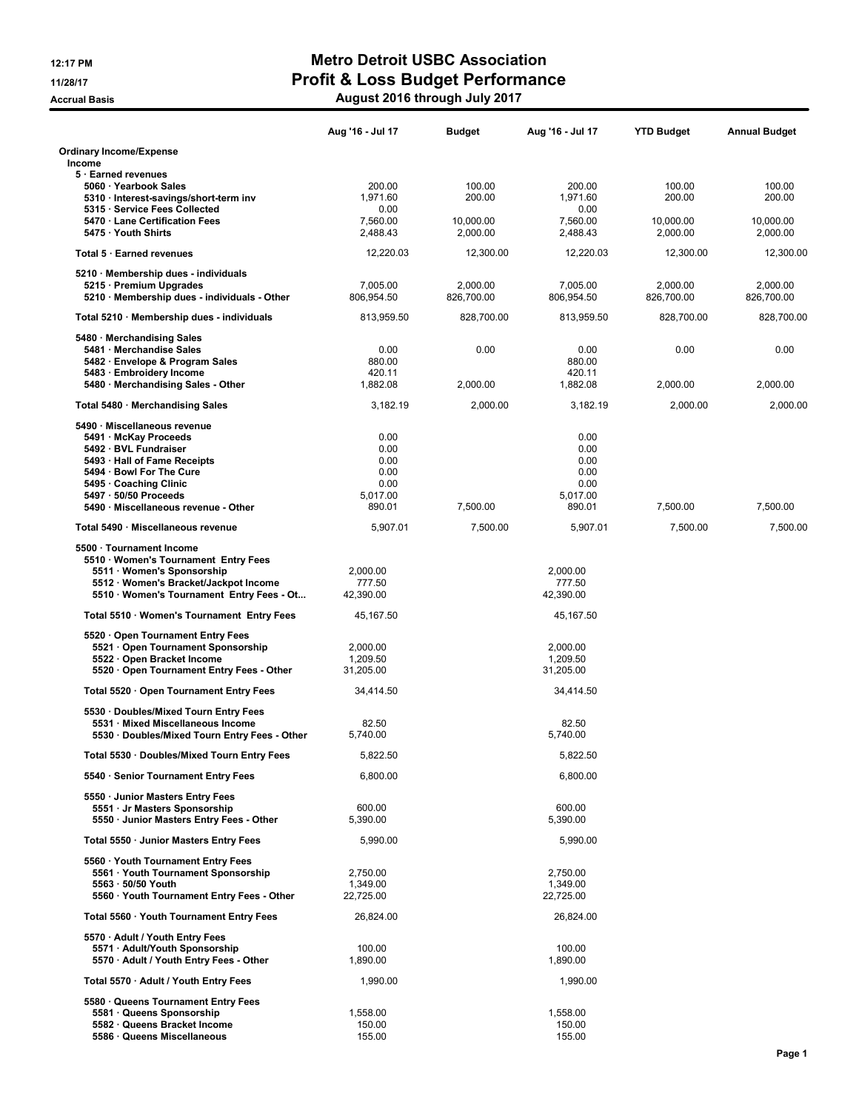|                                                                                                                                                                                                                                   | Aug '16 - Jul 17                                           | Budget                 | Aug '16 - Jul 17                                           | <b>YTD Budget</b>      | <b>Annual Budget</b>   |
|-----------------------------------------------------------------------------------------------------------------------------------------------------------------------------------------------------------------------------------|------------------------------------------------------------|------------------------|------------------------------------------------------------|------------------------|------------------------|
| <b>Ordinary Income/Expense</b>                                                                                                                                                                                                    |                                                            |                        |                                                            |                        |                        |
| Income<br>5 · Earned revenues                                                                                                                                                                                                     |                                                            |                        |                                                            |                        |                        |
| 5060 · Yearbook Sales<br>5310 · Interest-savings/short-term inv<br>5315 · Service Fees Collected                                                                                                                                  | 200.00<br>1.971.60<br>0.00                                 | 100.00<br>200.00       | 200.00<br>1,971.60<br>0.00                                 | 100.00<br>200.00       | 100.00<br>200.00       |
| 5470 Lane Certification Fees<br>5475 Youth Shirts                                                                                                                                                                                 | 7,560.00<br>2,488.43                                       | 10,000.00<br>2,000.00  | 7,560.00<br>2,488.43                                       | 10,000.00<br>2,000.00  | 10,000.00<br>2,000.00  |
| Total 5 · Earned revenues                                                                                                                                                                                                         | 12,220.03                                                  | 12,300.00              | 12,220.03                                                  | 12,300.00              | 12,300.00              |
| 5210 · Membership dues - individuals                                                                                                                                                                                              |                                                            |                        |                                                            |                        |                        |
| 5215 · Premium Upgrades<br>5210 · Membership dues - individuals - Other                                                                                                                                                           | 7,005.00<br>806,954.50                                     | 2,000.00<br>826,700.00 | 7,005.00<br>806,954.50                                     | 2,000.00<br>826,700.00 | 2.000.00<br>826,700.00 |
| Total 5210 · Membership dues - individuals                                                                                                                                                                                        | 813,959.50                                                 | 828,700.00             | 813,959.50                                                 | 828,700.00             | 828,700.00             |
| 5480 · Merchandising Sales<br>5481 · Merchandise Sales<br>5482 · Envelope & Program Sales<br>5483 · Embroidery Income                                                                                                             | 0.00<br>880.00<br>420.11                                   | 0.00                   | 0.00<br>880.00<br>420.11                                   | 0.00                   | 0.00                   |
| 5480 · Merchandising Sales - Other                                                                                                                                                                                                | 1,882.08                                                   | 2,000.00               | 1,882.08                                                   | 2,000.00               | 2,000.00               |
| Total 5480 · Merchandising Sales                                                                                                                                                                                                  | 3,182.19                                                   | 2.000.00               | 3,182.19                                                   | 2.000.00               | 2,000.00               |
| 5490 · Miscellaneous revenue<br>5491 · McKay Proceeds<br>5492 · BVL Fundraiser<br>5493 · Hall of Fame Receipts<br>5494 · Bowl For The Cure<br>5495 Coaching Clinic<br>5497 · 50/50 Proceeds<br>5490 Miscellaneous revenue - Other | 0.00<br>0.00<br>0.00<br>0.00<br>0.00<br>5,017.00<br>890.01 | 7,500.00               | 0.00<br>0.00<br>0.00<br>0.00<br>0.00<br>5.017.00<br>890.01 | 7,500.00               | 7,500.00               |
| Total 5490 Miscellaneous revenue                                                                                                                                                                                                  |                                                            |                        |                                                            |                        |                        |
| 5500 · Tournament Income<br>5510 Women's Tournament Entry Fees<br>5511 · Women's Sponsorship<br>5512 · Women's Bracket/Jackpot Income<br>5510 · Women's Tournament Entry Fees - Ot                                                | 5,907.01<br>2,000.00<br>777.50<br>42,390.00                | 7,500.00               | 5,907.01<br>2,000.00<br>777.50<br>42,390.00                | 7,500.00               | 7,500.00               |
| Total 5510 · Women's Tournament Entry Fees                                                                                                                                                                                        | 45,167.50                                                  |                        | 45,167.50                                                  |                        |                        |
| 5520 Open Tournament Entry Fees<br>5521 Open Tournament Sponsorship<br>5522 · Open Bracket Income<br>5520 Open Tournament Entry Fees - Other                                                                                      | 2,000.00<br>1,209.50<br>31,205.00                          |                        | 2,000.00<br>1,209.50<br>31,205.00                          |                        |                        |
| Total 5520 · Open Tournament Entry Fees                                                                                                                                                                                           | 34,414.50                                                  |                        | 34.414.50                                                  |                        |                        |
| 5530 · Doubles/Mixed Tourn Entry Fees<br>5531 Mixed Miscellaneous Income<br>5530 · Doubles/Mixed Tourn Entry Fees - Other                                                                                                         | 82.50<br>5,740.00                                          |                        | 82.50<br>5,740.00                                          |                        |                        |
| Total 5530 · Doubles/Mixed Tourn Entry Fees                                                                                                                                                                                       | 5,822.50                                                   |                        | 5,822.50                                                   |                        |                        |
| 5540 · Senior Tournament Entry Fees                                                                                                                                                                                               | 6,800.00                                                   |                        | 6,800.00                                                   |                        |                        |
| 5550 Junior Masters Entry Fees<br>5551 · Jr Masters Sponsorship<br>5550 · Junior Masters Entry Fees - Other                                                                                                                       | 600.00<br>5,390.00                                         |                        | 600.00<br>5,390.00                                         |                        |                        |
| Total 5550 · Junior Masters Entry Fees                                                                                                                                                                                            | 5.990.00                                                   |                        | 5.990.00                                                   |                        |                        |
| 5560 Youth Tournament Entry Fees<br>5561 · Youth Tournament Sponsorship<br>5563 · 50/50 Youth<br>5560 · Youth Tournament Entry Fees - Other                                                                                       | 2,750.00<br>1,349.00<br>22,725.00                          |                        | 2,750.00<br>1,349.00<br>22.725.00                          |                        |                        |
| Total 5560 · Youth Tournament Entry Fees                                                                                                                                                                                          | 26.824.00                                                  |                        | 26,824.00                                                  |                        |                        |
| 5570 · Adult / Youth Entry Fees<br>5571 · Adult/Youth Sponsorship<br>5570 · Adult / Youth Entry Fees - Other                                                                                                                      | 100.00<br>1,890.00                                         |                        | 100.00<br>1,890.00                                         |                        |                        |
| Total 5570 · Adult / Youth Entry Fees                                                                                                                                                                                             | 1,990.00                                                   |                        | 1,990.00                                                   |                        |                        |
| 5580 Queens Tournament Entry Fees<br>5581 Queens Sponsorship<br>5582 · Queens Bracket Income<br>5586 · Queens Miscellaneous                                                                                                       | 1,558.00<br>150.00<br>155.00                               |                        | 1,558.00<br>150.00<br>155.00                               |                        |                        |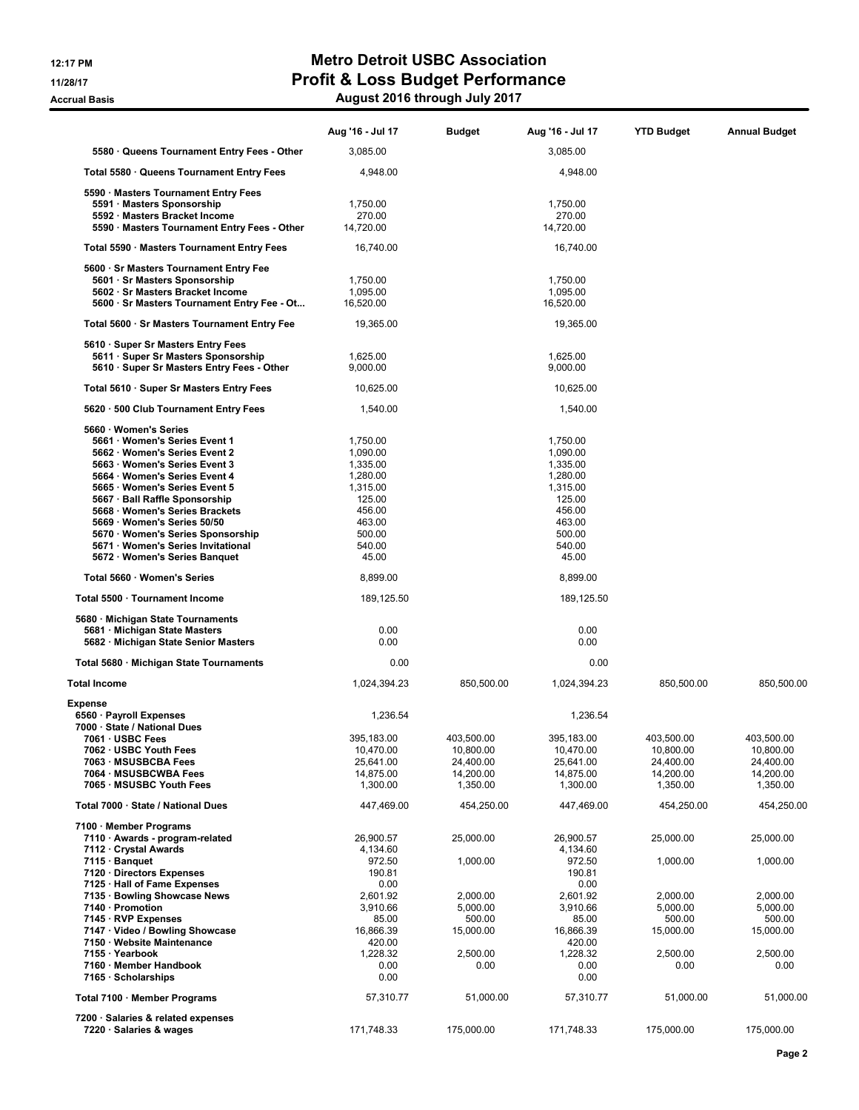|                                                                                 | Aug '16 - Jul 17      | <b>Budget</b>       | Aug '16 - Jul 17      | <b>YTD Budget</b>     | <b>Annual Budget</b> |
|---------------------------------------------------------------------------------|-----------------------|---------------------|-----------------------|-----------------------|----------------------|
| 5580 Queens Tournament Entry Fees - Other                                       | 3,085.00              |                     | 3,085.00              |                       |                      |
| Total 5580 · Queens Tournament Entry Fees                                       | 4,948.00              |                     | 4,948.00              |                       |                      |
| 5590 · Masters Tournament Entry Fees                                            |                       |                     |                       |                       |                      |
| 5591 Masters Sponsorship                                                        | 1,750.00              |                     | 1,750.00              |                       |                      |
| 5592 · Masters Bracket Income                                                   | 270.00                |                     | 270.00                |                       |                      |
| 5590 · Masters Tournament Entry Fees - Other                                    | 14,720.00             |                     | 14,720.00             |                       |                      |
| Total 5590 · Masters Tournament Entry Fees                                      | 16,740.00             |                     | 16,740.00             |                       |                      |
| 5600 · Sr Masters Tournament Entry Fee                                          |                       |                     |                       |                       |                      |
| 5601 · Sr Masters Sponsorship                                                   | 1,750.00              |                     | 1,750.00              |                       |                      |
| 5602 · Sr Masters Bracket Income<br>5600 · Sr Masters Tournament Entry Fee - Ot | 1,095.00<br>16,520.00 |                     | 1,095.00<br>16,520.00 |                       |                      |
| Total 5600 · Sr Masters Tournament Entry Fee                                    | 19,365.00             |                     | 19,365.00             |                       |                      |
| 5610 · Super Sr Masters Entry Fees                                              |                       |                     |                       |                       |                      |
| 5611 · Super Sr Masters Sponsorship                                             | 1,625.00              |                     | 1,625.00              |                       |                      |
| 5610 · Super Sr Masters Entry Fees - Other                                      | 9,000.00              |                     | 9,000.00              |                       |                      |
| Total 5610 · Super Sr Masters Entry Fees                                        | 10,625.00             |                     | 10,625.00             |                       |                      |
| 5620 · 500 Club Tournament Entry Fees                                           | 1,540.00              |                     | 1,540.00              |                       |                      |
| 5660 · Women's Series                                                           |                       |                     |                       |                       |                      |
| 5661 Women's Series Event 1                                                     | 1.750.00              |                     | 1,750.00              |                       |                      |
| 5662 Women's Series Event 2                                                     | 1,090.00              |                     | 1,090.00              |                       |                      |
| 5663 Women's Series Event 3                                                     | 1,335.00              |                     | 1,335.00              |                       |                      |
| 5664 Women's Series Event 4                                                     | 1,280.00              |                     | 1,280.00              |                       |                      |
| 5665 Women's Series Event 5                                                     | 1,315.00              |                     | 1,315.00              |                       |                      |
| 5667 · Ball Raffle Sponsorship<br>5668 · Women's Series Brackets                | 125.00<br>456.00      |                     | 125.00<br>456.00      |                       |                      |
| 5669 Women's Series 50/50                                                       | 463.00                |                     | 463.00                |                       |                      |
| 5670 · Women's Series Sponsorship                                               | 500.00                |                     | 500.00                |                       |                      |
| 5671 · Women's Series Invitational                                              | 540.00                |                     | 540.00                |                       |                      |
| 5672 · Women's Series Banquet                                                   | 45.00                 |                     | 45.00                 |                       |                      |
| Total 5660 · Women's Series                                                     | 8,899.00              |                     | 8,899.00              |                       |                      |
| Total 5500 · Tournament Income                                                  | 189,125.50            |                     | 189,125.50            |                       |                      |
| 5680 · Michigan State Tournaments                                               |                       |                     |                       |                       |                      |
| 5681 · Michigan State Masters                                                   | 0.00                  |                     | 0.00                  |                       |                      |
| 5682 · Michigan State Senior Masters                                            | 0.00                  |                     | 0.00                  |                       |                      |
| Total 5680 · Michigan State Tournaments                                         | 0.00                  |                     | 0.00                  |                       |                      |
| Total Income                                                                    | 1,024,394.23          | 850,500.00          | 1,024,394.23          | 850,500.00            | 850,500.00           |
| Expense                                                                         |                       |                     |                       |                       |                      |
| 6560 · Payroll Expenses<br>7000 · State / National Dues                         | 1,236.54              |                     | 1,236.54              |                       |                      |
| 7061 · USBC Fees                                                                | 395,183.00            | 403.500.00          | 395.183.00            | 403,500.00            | 403.500.00           |
| 7062 · USBC Youth Fees                                                          | 10,470.00             | 10,800.00           | 10,470.00             | 10,800.00             | 10,800.00            |
| 7063 · MSUSBCBA Fees                                                            | 25,641.00             | 24,400.00           | 25,641.00             | 24,400.00             | 24,400.00            |
| 7064 · MSUSBCWBA Fees                                                           | 14,875.00             | 14,200.00           | 14,875.00             | 14,200.00<br>1,350.00 | 14,200.00            |
| 7065 MSUSBC Youth Fees                                                          | 1,300.00              | 1,350.00            | 1,300.00              |                       | 1,350.00             |
| Total 7000 · State / National Dues                                              | 447,469.00            | 454,250.00          | 447,469.00            | 454,250.00            | 454,250.00           |
| 7100 · Member Programs                                                          |                       |                     |                       |                       |                      |
| 7110 · Awards - program-related<br>7112 Crystal Awards                          | 26,900.57<br>4,134.60 | 25,000.00           | 26,900.57<br>4,134.60 | 25,000.00             | 25,000.00            |
| 7115 · Banquet                                                                  | 972.50                | 1,000.00            | 972.50                | 1,000.00              | 1,000.00             |
| 7120 Directors Expenses                                                         | 190.81                |                     | 190.81                |                       |                      |
| 7125 · Hall of Fame Expenses                                                    | 0.00                  |                     | 0.00                  |                       |                      |
| 7135 · Bowling Showcase News                                                    | 2,601.92              | 2,000.00            | 2,601.92              | 2,000.00              | 2,000.00             |
| 7140 · Promotion                                                                | 3,910.66              | 5,000.00            | 3,910.66              | 5,000.00              | 5,000.00             |
| 7145 · RVP Expenses<br>7147 · Video / Bowling Showcase                          | 85.00<br>16,866.39    | 500.00<br>15,000.00 | 85.00<br>16,866.39    | 500.00<br>15,000.00   | 500.00<br>15,000.00  |
| 7150 · Website Maintenance                                                      | 420.00                |                     | 420.00                |                       |                      |
| 7155 · Yearbook                                                                 | 1,228.32              | 2,500.00            | 1,228.32              | 2,500.00              | 2,500.00             |
| 7160 · Member Handbook                                                          | 0.00                  | 0.00                | 0.00                  | 0.00                  | 0.00                 |
| 7165 · Scholarships                                                             | 0.00                  |                     | 0.00                  |                       |                      |
| Total 7100 · Member Programs                                                    | 57,310.77             | 51,000.00           | 57,310.77             | 51,000.00             | 51,000.00            |
| 7200 · Salaries & related expenses                                              |                       |                     |                       |                       |                      |
| 7220 · Salaries & wages                                                         | 171,748.33            | 175,000.00          | 171,748.33            | 175,000.00            | 175,000.00           |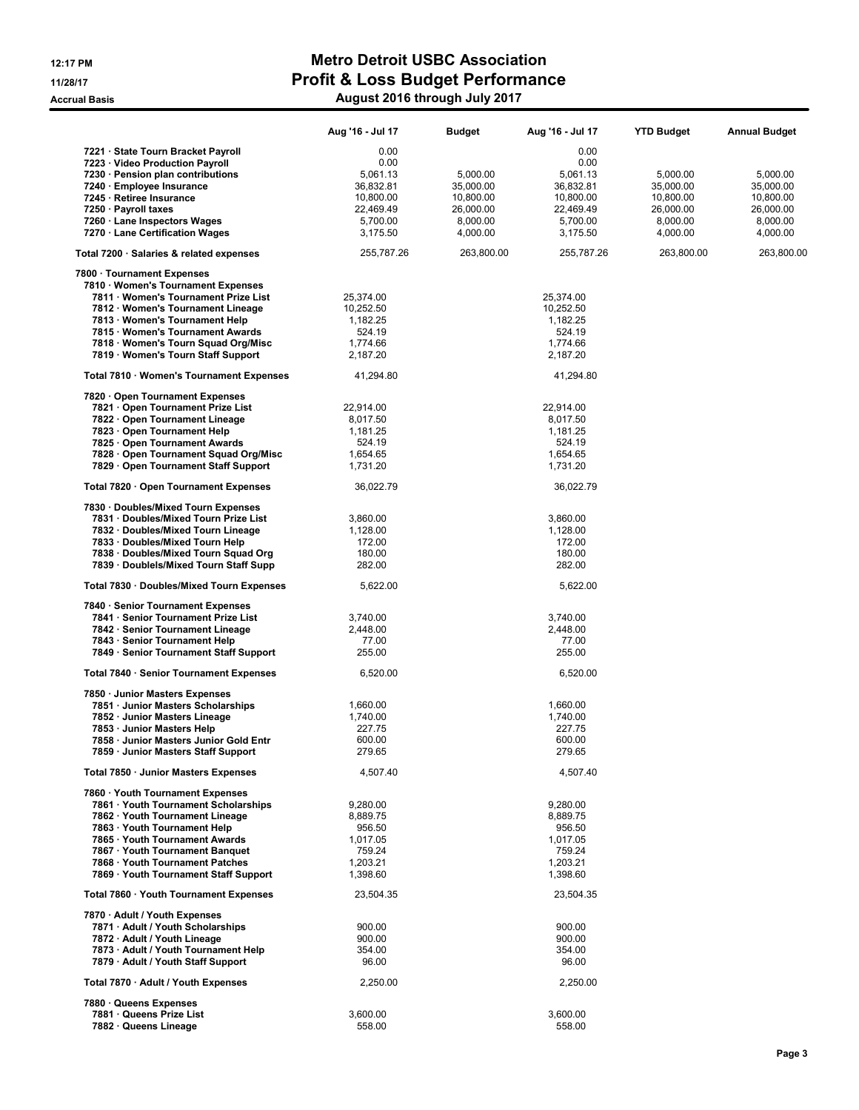|                                                                  | Aug '16 - Jul 17   | <b>Budget</b> | Aug '16 - Jul 17   | <b>YTD Budget</b> | <b>Annual Budget</b> |
|------------------------------------------------------------------|--------------------|---------------|--------------------|-------------------|----------------------|
| 7221 · State Tourn Bracket Payroll                               | 0.00               |               | 0.00               |                   |                      |
| 7223 · Video Production Payroll                                  | 0.00               |               | 0.00               |                   |                      |
| 7230 · Pension plan contributions                                | 5,061.13           | 5,000.00      | 5,061.13           | 5,000.00          | 5,000.00             |
| 7240 · Employee Insurance                                        | 36,832.81          | 35,000.00     | 36,832.81          | 35,000.00         | 35,000.00            |
| 7245 · Retiree Insurance                                         | 10,800.00          | 10,800.00     | 10,800.00          | 10,800.00         | 10,800.00            |
| 7250 · Payroll taxes                                             | 22,469.49          | 26,000.00     | 22,469.49          | 26,000.00         | 26,000.00            |
| 7260 · Lane Inspectors Wages                                     | 5,700.00           | 8,000.00      | 5,700.00           | 8,000.00          | 8,000.00             |
| 7270 · Lane Certification Wages                                  | 3,175.50           | 4,000.00      | 3,175.50           | 4,000.00          | 4,000.00             |
| Total 7200 · Salaries & related expenses                         | 255,787.26         | 263,800.00    | 255,787.26         | 263,800.00        | 263,800.00           |
| 7800 · Tournament Expenses<br>7810 · Women's Tournament Expenses |                    |               |                    |                   |                      |
| 7811 · Women's Tournament Prize List                             | 25,374.00          |               | 25,374.00          |                   |                      |
| 7812 · Women's Tournament Lineage                                | 10,252.50          |               | 10,252.50          |                   |                      |
| 7813 · Women's Tournament Help                                   | 1,182.25           |               | 1,182.25           |                   |                      |
| 7815 · Women's Tournament Awards                                 | 524.19             |               | 524.19             |                   |                      |
| 7818 · Women's Tourn Squad Org/Misc                              | 1,774.66           |               | 1,774.66           |                   |                      |
| 7819 · Women's Tourn Staff Support                               | 2,187.20           |               | 2,187.20           |                   |                      |
| Total 7810 · Women's Tournament Expenses                         | 41,294.80          |               | 41,294.80          |                   |                      |
| 7820 Open Tournament Expenses                                    |                    |               |                    |                   |                      |
| 7821 Open Tournament Prize List                                  | 22,914.00          |               | 22.914.00          |                   |                      |
| 7822 Open Tournament Lineage<br>7823 · Open Tournament Help      | 8,017.50           |               | 8,017.50           |                   |                      |
| 7825 Open Tournament Awards                                      | 1,181.25<br>524.19 |               | 1,181.25<br>524.19 |                   |                      |
| 7828 Open Tournament Squad Org/Misc                              | 1,654.65           |               | 1,654.65           |                   |                      |
| 7829 · Open Tournament Staff Support                             | 1,731.20           |               | 1,731.20           |                   |                      |
| Total 7820 · Open Tournament Expenses                            | 36,022.79          |               | 36,022.79          |                   |                      |
| 7830 · Doubles/Mixed Tourn Expenses                              |                    |               |                    |                   |                      |
| 7831 Doubles/Mixed Tourn Prize List                              | 3,860.00           |               | 3,860.00           |                   |                      |
| 7832 · Doubles/Mixed Tourn Lineage                               | 1,128.00           |               | 1,128.00           |                   |                      |
| 7833 · Doubles/Mixed Tourn Help                                  | 172.00             |               | 172.00             |                   |                      |
| 7838 · Doubles/Mixed Tourn Squad Org                             | 180.00             |               | 180.00             |                   |                      |
| 7839 · Doublels/Mixed Tourn Staff Supp                           | 282.00             |               | 282.00             |                   |                      |
| Total 7830 · Doubles/Mixed Tourn Expenses                        | 5,622.00           |               | 5,622.00           |                   |                      |
| 7840 · Senior Tournament Expenses                                |                    |               |                    |                   |                      |
| 7841 · Senior Tournament Prize List                              | 3,740.00           |               | 3,740.00           |                   |                      |
| 7842 · Senior Tournament Lineage                                 | 2,448.00           |               | 2,448.00           |                   |                      |
| 7843 · Senior Tournament Help                                    | 77.00              |               | 77.00              |                   |                      |
| 7849 · Senior Tournament Staff Support                           | 255.00             |               | 255.00             |                   |                      |
| Total 7840 · Senior Tournament Expenses                          | 6,520.00           |               | 6,520.00           |                   |                      |
| 7850 Junior Masters Expenses                                     |                    |               |                    |                   |                      |
| 7851 · Junior Masters Scholarships                               | 1,660.00           |               | 1,660.00           |                   |                      |
| 7852 · Junior Masters Lineage<br>7853 · Junior Masters Help      | 1,740.00<br>227.75 |               | 1,740.00<br>227.75 |                   |                      |
| 7858 · Junior Masters Junior Gold Entr                           | 600.00             |               | 600.00             |                   |                      |
| 7859 · Junior Masters Staff Support                              | 279.65             |               | 279.65             |                   |                      |
| Total 7850 · Junior Masters Expenses                             | 4.507.40           |               | 4,507.40           |                   |                      |
| 7860 · Youth Tournament Expenses                                 |                    |               |                    |                   |                      |
| 7861 Youth Tournament Scholarships                               | 9,280.00           |               | 9,280.00           |                   |                      |
| 7862 · Youth Tournament Lineage                                  | 8,889.75           |               | 8,889.75           |                   |                      |
| 7863 · Youth Tournament Help                                     | 956.50             |               | 956.50             |                   |                      |
| 7865 · Youth Tournament Awards                                   | 1,017.05           |               | 1,017.05           |                   |                      |
| 7867 · Youth Tournament Banquet                                  | 759.24             |               | 759.24             |                   |                      |
| 7868 · Youth Tournament Patches                                  | 1,203.21           |               | 1,203.21           |                   |                      |
| 7869 Youth Tournament Staff Support                              | 1,398.60           |               | 1,398.60           |                   |                      |
| Total 7860 · Youth Tournament Expenses                           | 23,504.35          |               | 23,504.35          |                   |                      |
| 7870 · Adult / Youth Expenses                                    |                    |               |                    |                   |                      |
| 7871 · Adult / Youth Scholarships                                | 900.00             |               | 900.00             |                   |                      |
| 7872 · Adult / Youth Lineage                                     | 900.00             |               | 900.00             |                   |                      |
| 7873 · Adult / Youth Tournament Help                             | 354.00             |               | 354.00             |                   |                      |
| 7879 · Adult / Youth Staff Support                               | 96.00              |               | 96.00              |                   |                      |
| Total 7870 · Adult / Youth Expenses                              | 2,250.00           |               | 2,250.00           |                   |                      |
| 7880 · Queens Expenses                                           |                    |               |                    |                   |                      |
| 7881 · Queens Prize List                                         | 3,600.00           |               | 3,600.00           |                   |                      |
| 7882 · Queens Lineage                                            | 558.00             |               | 558.00             |                   |                      |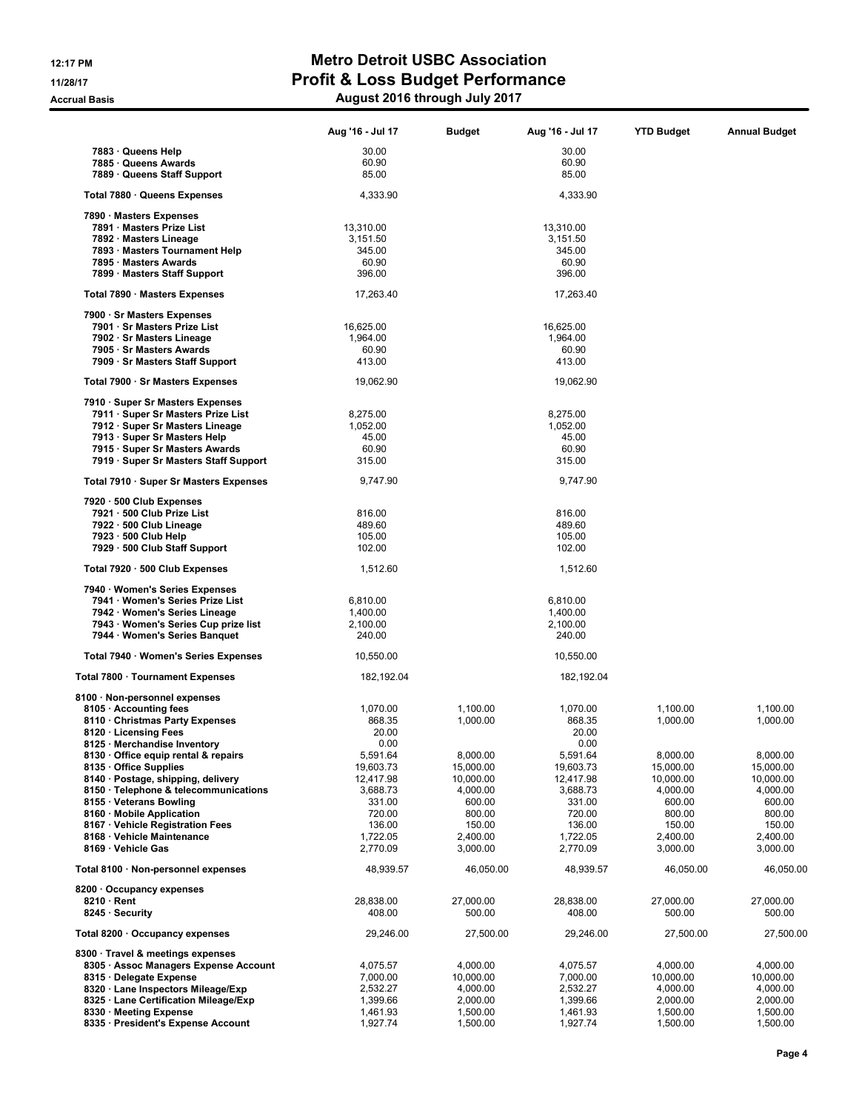|                                                                      | Aug '16 - Jul 17 | Budget    | Aug '16 - Jul 17 | <b>YTD Budget</b> | <b>Annual Budget</b> |
|----------------------------------------------------------------------|------------------|-----------|------------------|-------------------|----------------------|
| 7883 · Queens Help                                                   | 30.00            |           | 30.00            |                   |                      |
| 7885 · Queens Awards                                                 | 60.90            |           | 60.90            |                   |                      |
| 7889 · Queens Staff Support                                          | 85.00            |           | 85.00            |                   |                      |
| Total 7880 · Queens Expenses                                         | 4,333.90         |           | 4,333.90         |                   |                      |
| 7890 · Masters Expenses                                              |                  |           |                  |                   |                      |
| 7891 Masters Prize List                                              | 13,310.00        |           | 13,310.00        |                   |                      |
| 7892 · Masters Lineage                                               | 3,151.50         |           | 3,151.50         |                   |                      |
| 7893 · Masters Tournament Help                                       | 345.00           |           | 345.00           |                   |                      |
| 7895 · Masters Awards                                                | 60.90            |           | 60.90            |                   |                      |
| 7899 · Masters Staff Support                                         | 396.00           |           | 396.00           |                   |                      |
| Total 7890 · Masters Expenses                                        | 17,263.40        |           | 17,263.40        |                   |                      |
| 7900 · Sr Masters Expenses                                           |                  |           |                  |                   |                      |
| 7901 · Sr Masters Prize List                                         | 16,625.00        |           | 16,625.00        |                   |                      |
| 7902 · Sr Masters Lineage                                            | 1,964.00         |           | 1,964.00         |                   |                      |
| 7905 · Sr Masters Awards                                             | 60.90            |           | 60.90            |                   |                      |
| 7909 · Sr Masters Staff Support                                      | 413.00           |           | 413.00           |                   |                      |
| Total 7900 · Sr Masters Expenses                                     | 19,062.90        |           | 19,062.90        |                   |                      |
| 7910 · Super Sr Masters Expenses                                     |                  |           |                  |                   |                      |
| 7911 · Super Sr Masters Prize List                                   | 8,275.00         |           | 8,275.00         |                   |                      |
| 7912 · Super Sr Masters Lineage                                      | 1,052.00         |           | 1,052.00         |                   |                      |
| 7913 · Super Sr Masters Help                                         | 45.00            |           | 45.00            |                   |                      |
| 7915 · Super Sr Masters Awards                                       | 60.90            |           | 60.90            |                   |                      |
| 7919 · Super Sr Masters Staff Support                                | 315.00           |           | 315.00           |                   |                      |
| Total 7910 · Super Sr Masters Expenses                               | 9,747.90         |           | 9,747.90         |                   |                      |
| 7920 · 500 Club Expenses                                             |                  |           |                  |                   |                      |
| 7921 · 500 Club Prize List                                           | 816.00           |           | 816.00           |                   |                      |
| 7922 · 500 Club Lineage                                              | 489.60           |           | 489.60           |                   |                      |
| 7923 · 500 Club Help<br>7929 · 500 Club Staff Support                | 105.00<br>102.00 |           | 105.00<br>102.00 |                   |                      |
|                                                                      |                  |           |                  |                   |                      |
| Total 7920 · 500 Club Expenses                                       | 1,512.60         |           | 1,512.60         |                   |                      |
| 7940 · Women's Series Expenses                                       |                  |           |                  |                   |                      |
| 7941 · Women's Series Prize List                                     | 6,810.00         |           | 6,810.00         |                   |                      |
| 7942 · Women's Series Lineage                                        | 1,400.00         |           | 1,400.00         |                   |                      |
| 7943 · Women's Series Cup prize list                                 | 2,100.00         |           | 2,100.00         |                   |                      |
| 7944 · Women's Series Banquet                                        | 240.00           |           | 240.00           |                   |                      |
| Total 7940 · Women's Series Expenses                                 | 10,550.00        |           | 10,550.00        |                   |                      |
| Total 7800 · Tournament Expenses                                     | 182,192.04       |           | 182,192.04       |                   |                      |
| 8100 · Non-personnel expenses                                        |                  |           |                  |                   |                      |
| 8105 · Accounting fees                                               | 1,070.00         | 1,100.00  | 1,070.00         | 1,100.00          | 1,100.00             |
| 8110 Christmas Party Expenses                                        | 868.35           | 1,000.00  | 868.35           | 1,000.00          | 1,000.00             |
| 8120 · Licensing Fees                                                | 20.00            |           | 20.00            |                   |                      |
| 8125 · Merchandise Inventory<br>8130 · Office equip rental & repairs | 0.00<br>5,591.64 | 8,000.00  | 0.00<br>5,591.64 | 8,000.00          | 8,000.00             |
| 8135 Office Supplies                                                 | 19,603.73        | 15,000.00 | 19,603.73        | 15,000.00         | 15,000.00            |
| 8140 · Postage, shipping, delivery                                   | 12,417.98        | 10,000.00 | 12,417.98        | 10,000.00         | 10,000.00            |
| 8150 · Telephone & telecommunications                                | 3,688.73         | 4,000.00  | 3,688.73         | 4,000.00          | 4,000.00             |
| 8155 Veterans Bowling                                                | 331.00           | 600.00    | 331.00           | 600.00            | 600.00               |
| 8160 Mobile Application                                              | 720.00           | 800.00    | 720.00           | 800.00            | 800.00               |
| 8167 · Vehicle Registration Fees                                     | 136.00           | 150.00    | 136.00           | 150.00            | 150.00               |
| 8168 · Vehicle Maintenance                                           | 1,722.05         | 2,400.00  | 1,722.05         | 2,400.00          | 2,400.00             |
| 8169 · Vehicle Gas                                                   | 2,770.09         | 3,000.00  | 2,770.09         | 3,000.00          | 3,000.00             |
| Total 8100 · Non-personnel expenses                                  | 48,939.57        | 46,050.00 | 48,939.57        | 46,050.00         | 46,050.00            |
| 8200 Occupancy expenses                                              |                  |           |                  |                   |                      |
| $8210 \cdot$ Rent                                                    | 28,838.00        | 27,000.00 | 28,838.00        | 27,000.00         | 27,000.00            |
| 8245 · Security                                                      | 408.00           | 500.00    | 408.00           | 500.00            | 500.00               |
| Total 8200 · Occupancy expenses                                      | 29,246.00        | 27,500.00 | 29,246.00        | 27,500.00         | 27,500.00            |
| 8300 · Travel & meetings expenses                                    |                  |           |                  |                   |                      |
| 8305 · Assoc Managers Expense Account                                | 4,075.57         | 4,000.00  | 4,075.57         | 4,000.00          | 4,000.00             |
| 8315 Delegate Expense                                                | 7,000.00         | 10,000.00 | 7,000.00         | 10,000.00         | 10,000.00            |
| 8320 · Lane Inspectors Mileage/Exp                                   | 2,532.27         | 4,000.00  | 2,532.27         | 4,000.00          | 4,000.00             |
| 8325 Lane Certification Mileage/Exp                                  | 1,399.66         | 2,000.00  | 1,399.66         | 2,000.00          | 2,000.00             |
| 8330 Meeting Expense                                                 | 1,461.93         | 1,500.00  | 1,461.93         | 1,500.00          | 1,500.00             |
| 8335 · President's Expense Account                                   | 1,927.74         | 1,500.00  | 1,927.74         | 1,500.00          | 1,500.00             |